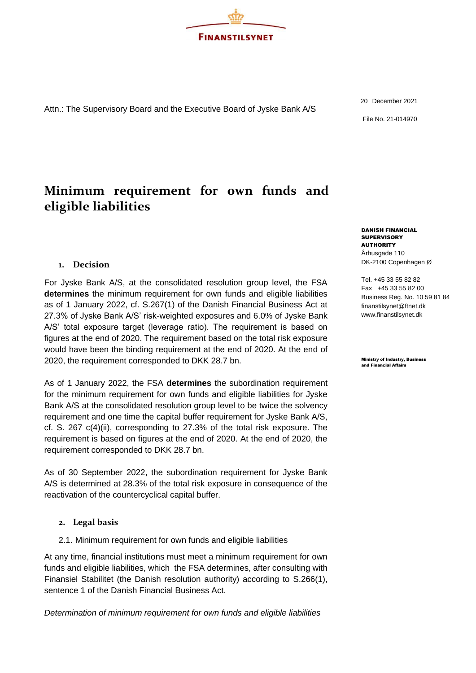

Attn.: The Supervisory Board and the Executive Board of Jyske Bank A/S

# **Minimum requirement for own funds and eligible liabilities**

## **1. Decision**

For Jyske Bank A/S, at the consolidated resolution group level, the FSA **determines** the minimum requirement for own funds and eligible liabilities as of 1 January 2022, cf. S.267(1) of the Danish Financial Business Act at 27.3% of Jyske Bank A/S' risk-weighted exposures and 6.0% of Jyske Bank A/S' total exposure target (leverage ratio). The requirement is based on figures at the end of 2020. The requirement based on the total risk exposure would have been the binding requirement at the end of 2020. At the end of 2020, the requirement corresponded to DKK 28.7 bn.

As of 1 January 2022, the FSA **determines** the subordination requirement for the minimum requirement for own funds and eligible liabilities for Jyske Bank A/S at the consolidated resolution group level to be twice the solvency requirement and one time the capital buffer requirement for Jyske Bank A/S, cf. S. 267 c(4)(ii), corresponding to 27.3% of the total risk exposure. The requirement is based on figures at the end of 2020. At the end of 2020, the requirement corresponded to DKK 28.7 bn.

As of 30 September 2022, the subordination requirement for Jyske Bank A/S is determined at 28.3% of the total risk exposure in consequence of the reactivation of the countercyclical capital buffer.

#### **2. Legal basis**

2.1. Minimum requirement for own funds and eligible liabilities

At any time, financial institutions must meet a minimum requirement for own funds and eligible liabilities, which the FSA determines, after consulting with Finansiel Stabilitet (the Danish resolution authority) according to S.266(1), sentence 1 of the Danish Financial Business Act.

*Determination of minimum requirement for own funds and eligible liabilities*

20 December 2021 File No. 21-014970

DANISH FINANCIAL **SUPERVISORY AUTHORITY** Århusgade 110 DK-2100 Copenhagen Ø

Tel. +45 33 55 82 82 Fax +45 33 55 82 00 Business Reg. No. 10 59 81 84 [finanstilsynet@ftnet.dk](mailto:finanstilsynet@ftnet.dk) [www.finanstilsynet.dk](http://www.finanstilsynet.dk/)

Ministry of Industry, Business and Financial Affairs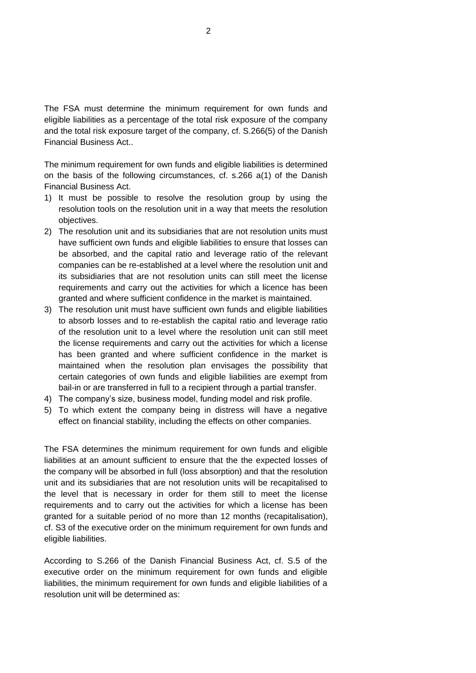The FSA must determine the minimum requirement for own funds and eligible liabilities as a percentage of the total risk exposure of the company and the total risk exposure target of the company, cf. S.266(5) of the Danish Financial Business Act..

The minimum requirement for own funds and eligible liabilities is determined on the basis of the following circumstances, cf. s.266 a(1) of the Danish Financial Business Act.

- 1) It must be possible to resolve the resolution group by using the resolution tools on the resolution unit in a way that meets the resolution objectives.
- 2) The resolution unit and its subsidiaries that are not resolution units must have sufficient own funds and eligible liabilities to ensure that losses can be absorbed, and the capital ratio and leverage ratio of the relevant companies can be re-established at a level where the resolution unit and its subsidiaries that are not resolution units can still meet the license requirements and carry out the activities for which a licence has been granted and where sufficient confidence in the market is maintained.
- 3) The resolution unit must have sufficient own funds and eligible liabilities to absorb losses and to re-establish the capital ratio and leverage ratio of the resolution unit to a level where the resolution unit can still meet the license requirements and carry out the activities for which a license has been granted and where sufficient confidence in the market is maintained when the resolution plan envisages the possibility that certain categories of own funds and eligible liabilities are exempt from bail-in or are transferred in full to a recipient through a partial transfer.
- 4) The company's size, business model, funding model and risk profile.
- 5) To which extent the company being in distress will have a negative effect on financial stability, including the effects on other companies.

The FSA determines the minimum requirement for own funds and eligible liabilities at an amount sufficient to ensure that the the expected losses of the company will be absorbed in full (loss absorption) and that the resolution unit and its subsidiaries that are not resolution units will be recapitalised to the level that is necessary in order for them still to meet the license requirements and to carry out the activities for which a license has been granted for a suitable period of no more than 12 months (recapitalisation), cf. S3 of the executive order on the minimum requirement for own funds and eligible liabilities.

According to S.266 of the Danish Financial Business Act, cf. S.5 of the executive order on the minimum requirement for own funds and eligible liabilities, the minimum requirement for own funds and eligible liabilities of a resolution unit will be determined as: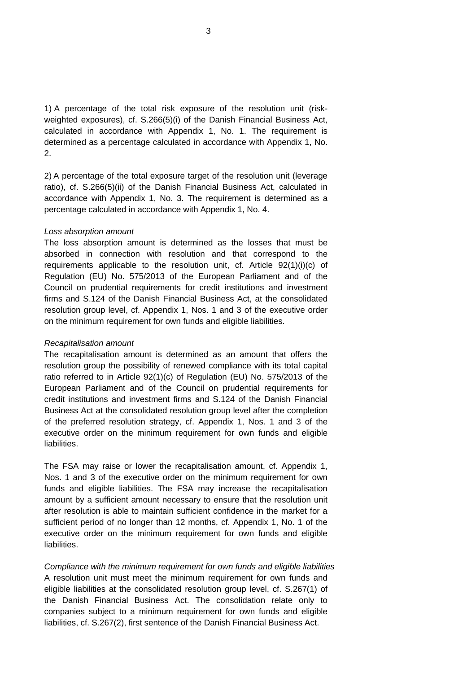1) A percentage of the total risk exposure of the resolution unit (riskweighted exposures), cf. S.266(5)(i) of the Danish Financial Business Act, calculated in accordance with Appendix 1, No. 1. The requirement is determined as a percentage calculated in accordance with Appendix 1, No. 2.

2) A percentage of the total exposure target of the resolution unit (leverage ratio), cf. S.266(5)(ii) of the Danish Financial Business Act, calculated in accordance with Appendix 1, No. 3. The requirement is determined as a percentage calculated in accordance with Appendix 1, No. 4.

#### *Loss absorption amount*

The loss absorption amount is determined as the losses that must be absorbed in connection with resolution and that correspond to the requirements applicable to the resolution unit, cf. Article 92(1)(i)(c) of Regulation (EU) No. 575/2013 of the European Parliament and of the Council on prudential requirements for credit institutions and investment firms and S.124 of the Danish Financial Business Act, at the consolidated resolution group level, cf. Appendix 1, Nos. 1 and 3 of the executive order on the minimum requirement for own funds and eligible liabilities.

#### *Recapitalisation amount*

The recapitalisation amount is determined as an amount that offers the resolution group the possibility of renewed compliance with its total capital ratio referred to in Article 92(1)(c) of Regulation (EU) No. 575/2013 of the European Parliament and of the Council on prudential requirements for credit institutions and investment firms and S.124 of the Danish Financial Business Act at the consolidated resolution group level after the completion of the preferred resolution strategy, cf. Appendix 1, Nos. 1 and 3 of the executive order on the minimum requirement for own funds and eligible liabilities.

The FSA may raise or lower the recapitalisation amount, cf. Appendix 1, Nos. 1 and 3 of the executive order on the minimum requirement for own funds and eligible liabilities. The FSA may increase the recapitalisation amount by a sufficient amount necessary to ensure that the resolution unit after resolution is able to maintain sufficient confidence in the market for a sufficient period of no longer than 12 months, cf. Appendix 1, No. 1 of the executive order on the minimum requirement for own funds and eligible liabilities.

*Compliance with the minimum requirement for own funds and eligible liabilities* A resolution unit must meet the minimum requirement for own funds and eligible liabilities at the consolidated resolution group level, cf. S.267(1) of the Danish Financial Business Act. The consolidation relate only to companies subject to a minimum requirement for own funds and eligible liabilities, cf. S.267(2), first sentence of the Danish Financial Business Act.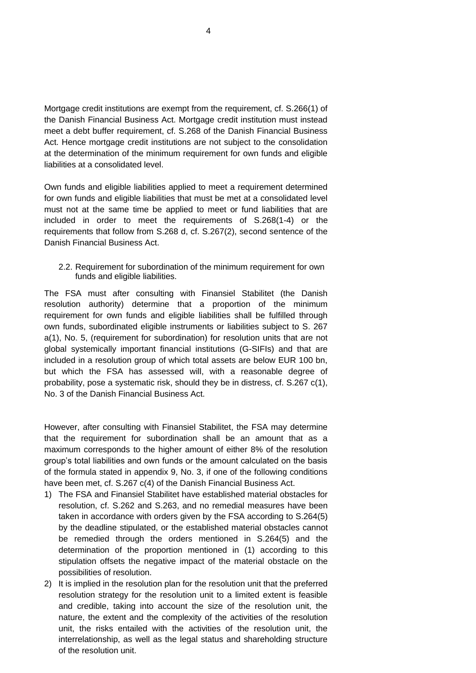Mortgage credit institutions are exempt from the requirement, cf. S.266(1) of the Danish Financial Business Act. Mortgage credit institution must instead meet a debt buffer requirement, cf. S.268 of the Danish Financial Business Act. Hence mortgage credit institutions are not subject to the consolidation at the determination of the minimum requirement for own funds and eligible liabilities at a consolidated level.

Own funds and eligible liabilities applied to meet a requirement determined for own funds and eligible liabilities that must be met at a consolidated level must not at the same time be applied to meet or fund liabilities that are included in order to meet the requirements of S.268(1-4) or the requirements that follow from S.268 d, cf. S.267(2), second sentence of the Danish Financial Business Act.

2.2. Requirement for subordination of the minimum requirement for own funds and eligible liabilities.

The FSA must after consulting with Finansiel Stabilitet (the Danish resolution authority) determine that a proportion of the minimum requirement for own funds and eligible liabilities shall be fulfilled through own funds, subordinated eligible instruments or liabilities subject to S. 267 a(1), No. 5, (requirement for subordination) for resolution units that are not global systemically important financial institutions (G-SIFIs) and that are included in a resolution group of which total assets are below EUR 100 bn, but which the FSA has assessed will, with a reasonable degree of probability, pose a systematic risk, should they be in distress, cf. S.267 c(1), No. 3 of the Danish Financial Business Act.

However, after consulting with Finansiel Stabilitet, the FSA may determine that the requirement for subordination shall be an amount that as a maximum corresponds to the higher amount of either 8% of the resolution group's total liabilities and own funds or the amount calculated on the basis of the formula stated in appendix 9, No. 3, if one of the following conditions have been met, cf. S.267 c(4) of the Danish Financial Business Act.

- 1) The FSA and Finansiel Stabilitet have established material obstacles for resolution, cf. S.262 and S.263, and no remedial measures have been taken in accordance with orders given by the FSA according to S.264(5) by the deadline stipulated, or the established material obstacles cannot be remedied through the orders mentioned in S.264(5) and the determination of the proportion mentioned in (1) according to this stipulation offsets the negative impact of the material obstacle on the possibilities of resolution.
- 2) It is implied in the resolution plan for the resolution unit that the preferred resolution strategy for the resolution unit to a limited extent is feasible and credible, taking into account the size of the resolution unit, the nature, the extent and the complexity of the activities of the resolution unit, the risks entailed with the activities of the resolution unit, the interrelationship, as well as the legal status and shareholding structure of the resolution unit.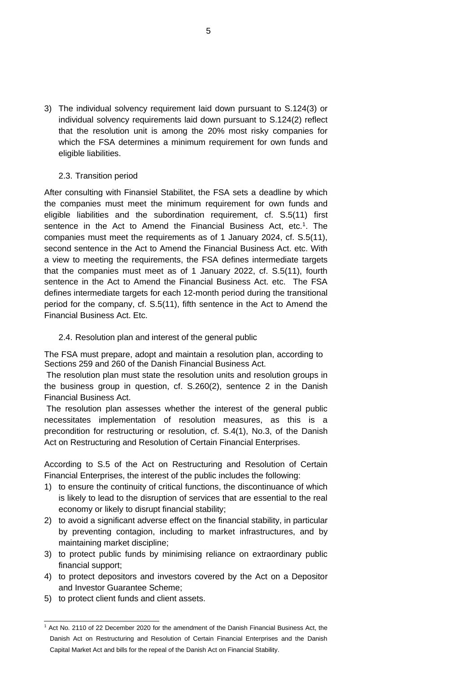3) The individual solvency requirement laid down pursuant to S.124(3) or individual solvency requirements laid down pursuant to S.124(2) reflect that the resolution unit is among the 20% most risky companies for which the FSA determines a minimum requirement for own funds and eligible liabilities.

## 2.3. Transition period

After consulting with Finansiel Stabilitet, the FSA sets a deadline by which the companies must meet the minimum requirement for own funds and eligible liabilities and the subordination requirement, cf. S.5(11) first sentence in the Act to Amend the Financial Business Act, etc.<sup>1</sup>. The companies must meet the requirements as of 1 January 2024, cf. S.5(11), second sentence in the Act to Amend the Financial Business Act. etc. With a view to meeting the requirements, the FSA defines intermediate targets that the companies must meet as of 1 January 2022, cf. S.5(11), fourth sentence in the Act to Amend the Financial Business Act. etc. The FSA defines intermediate targets for each 12-month period during the transitional period for the company, cf. S.5(11), fifth sentence in the Act to Amend the Financial Business Act. Etc.

#### 2.4. Resolution plan and interest of the general public

The FSA must prepare, adopt and maintain a resolution plan, according to Sections 259 and 260 of the Danish Financial Business Act.

The resolution plan must state the resolution units and resolution groups in the business group in question, cf. S.260(2), sentence 2 in the Danish Financial Business Act.

The resolution plan assesses whether the interest of the general public necessitates implementation of resolution measures, as this is a precondition for restructuring or resolution, cf. S.4(1), No.3, of the Danish Act on Restructuring and Resolution of Certain Financial Enterprises.

According to S.5 of the Act on Restructuring and Resolution of Certain Financial Enterprises, the interest of the public includes the following:

- 1) to ensure the continuity of critical functions, the discontinuance of which is likely to lead to the disruption of services that are essential to the real economy or likely to disrupt financial stability;
- 2) to avoid a significant adverse effect on the financial stability, in particular by preventing contagion, including to market infrastructures, and by maintaining market discipline;
- 3) to protect public funds by minimising reliance on extraordinary public financial support;
- 4) to protect depositors and investors covered by the Act on a Depositor and Investor Guarantee Scheme;
- 5) to protect client funds and client assets.

<sup>1</sup> Act No. 2110 of 22 December 2020 for the amendment of the Danish Financial Business Act, the Danish Act on Restructuring and Resolution of Certain Financial Enterprises and the Danish Capital Market Act and bills for the repeal of the Danish Act on Financial Stability.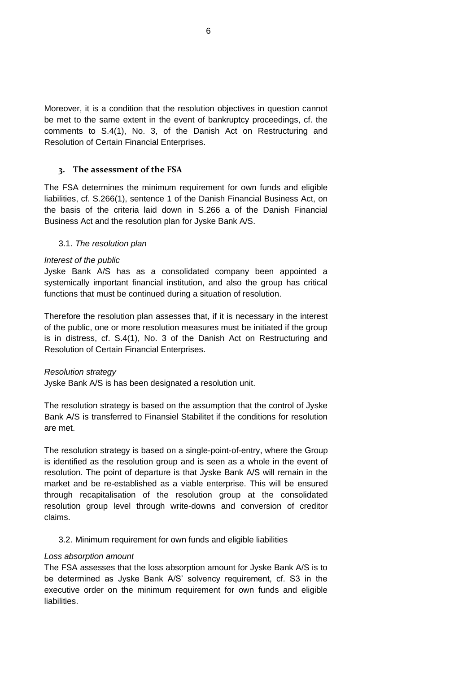Moreover, it is a condition that the resolution objectives in question cannot be met to the same extent in the event of bankruptcy proceedings, cf. the comments to S.4(1), No. 3, of the Danish Act on Restructuring and Resolution of Certain Financial Enterprises.

## **3. The assessment of the FSA**

The FSA determines the minimum requirement for own funds and eligible liabilities, cf. S.266(1), sentence 1 of the Danish Financial Business Act, on the basis of the criteria laid down in S.266 a of the Danish Financial Business Act and the resolution plan for Jyske Bank A/S.

#### 3.1. *The resolution plan*

#### *Interest of the public*

Jyske Bank A/S has as a consolidated company been appointed a systemically important financial institution, and also the group has critical functions that must be continued during a situation of resolution.

Therefore the resolution plan assesses that, if it is necessary in the interest of the public, one or more resolution measures must be initiated if the group is in distress, cf. S.4(1), No. 3 of the Danish Act on Restructuring and Resolution of Certain Financial Enterprises.

#### *Resolution strategy*

Jyske Bank A/S is has been designated a resolution unit.

The resolution strategy is based on the assumption that the control of Jyske Bank A/S is transferred to Finansiel Stabilitet if the conditions for resolution are met.

The resolution strategy is based on a single-point-of-entry, where the Group is identified as the resolution group and is seen as a whole in the event of resolution. The point of departure is that Jyske Bank A/S will remain in the market and be re-established as a viable enterprise. This will be ensured through recapitalisation of the resolution group at the consolidated resolution group level through write-downs and conversion of creditor claims.

#### 3.2. Minimum requirement for own funds and eligible liabilities

#### *Loss absorption amount*

The FSA assesses that the loss absorption amount for Jyske Bank A/S is to be determined as Jyske Bank A/S' solvency requirement, cf. S3 in the executive order on the minimum requirement for own funds and eligible liabilities.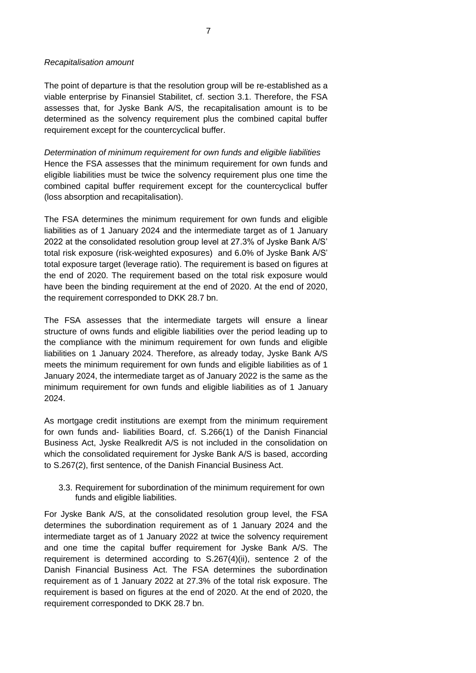#### *Recapitalisation amount*

The point of departure is that the resolution group will be re-established as a viable enterprise by Finansiel Stabilitet, cf. section 3.1. Therefore, the FSA assesses that, for Jyske Bank A/S, the recapitalisation amount is to be determined as the solvency requirement plus the combined capital buffer requirement except for the countercyclical buffer.

*Determination of minimum requirement for own funds and eligible liabilities* Hence the FSA assesses that the minimum requirement for own funds and eligible liabilities must be twice the solvency requirement plus one time the combined capital buffer requirement except for the countercyclical buffer (loss absorption and recapitalisation).

The FSA determines the minimum requirement for own funds and eligible liabilities as of 1 January 2024 and the intermediate target as of 1 January 2022 at the consolidated resolution group level at 27.3% of Jyske Bank A/S' total risk exposure (risk-weighted exposures) and 6.0% of Jyske Bank A/S' total exposure target (leverage ratio). The requirement is based on figures at the end of 2020. The requirement based on the total risk exposure would have been the binding requirement at the end of 2020. At the end of 2020, the requirement corresponded to DKK 28.7 bn.

The FSA assesses that the intermediate targets will ensure a linear structure of owns funds and eligible liabilities over the period leading up to the compliance with the minimum requirement for own funds and eligible liabilities on 1 January 2024. Therefore, as already today, Jyske Bank A/S meets the minimum requirement for own funds and eligible liabilities as of 1 January 2024, the intermediate target as of January 2022 is the same as the minimum requirement for own funds and eligible liabilities as of 1 January 2024.

As mortgage credit institutions are exempt from the minimum requirement for own funds and- liabilities Board, cf. S.266(1) of the Danish Financial Business Act, Jyske Realkredit A/S is not included in the consolidation on which the consolidated requirement for Jyske Bank A/S is based, according to S.267(2), first sentence, of the Danish Financial Business Act.

3.3. Requirement for subordination of the minimum requirement for own funds and eligible liabilities.

For Jyske Bank A/S, at the consolidated resolution group level, the FSA determines the subordination requirement as of 1 January 2024 and the intermediate target as of 1 January 2022 at twice the solvency requirement and one time the capital buffer requirement for Jyske Bank A/S. The requirement is determined according to S.267(4)(ii), sentence 2 of the Danish Financial Business Act. The FSA determines the subordination requirement as of 1 January 2022 at 27.3% of the total risk exposure. The requirement is based on figures at the end of 2020. At the end of 2020, the requirement corresponded to DKK 28.7 bn.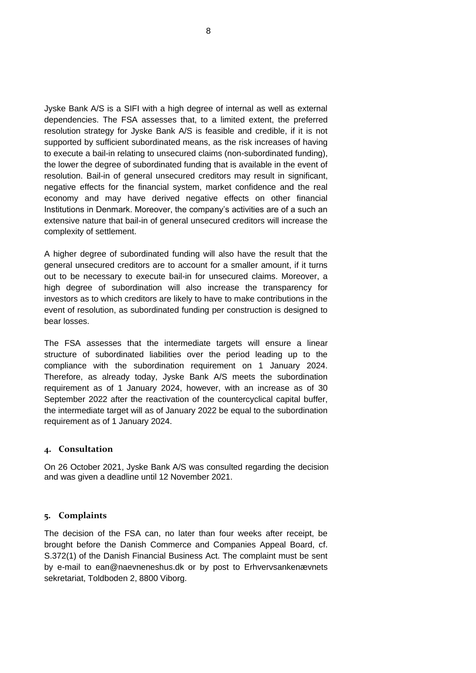Jyske Bank A/S is a SIFI with a high degree of internal as well as external dependencies. The FSA assesses that, to a limited extent, the preferred resolution strategy for Jyske Bank A/S is feasible and credible, if it is not supported by sufficient subordinated means, as the risk increases of having to execute a bail-in relating to unsecured claims (non-subordinated funding), the lower the degree of subordinated funding that is available in the event of resolution. Bail-in of general unsecured creditors may result in significant, negative effects for the financial system, market confidence and the real economy and may have derived negative effects on other financial Institutions in Denmark. Moreover, the company's activities are of a such an extensive nature that bail-in of general unsecured creditors will increase the complexity of settlement.

A higher degree of subordinated funding will also have the result that the general unsecured creditors are to account for a smaller amount, if it turns out to be necessary to execute bail-in for unsecured claims. Moreover, a high degree of subordination will also increase the transparency for investors as to which creditors are likely to have to make contributions in the event of resolution, as subordinated funding per construction is designed to bear losses.

The FSA assesses that the intermediate targets will ensure a linear structure of subordinated liabilities over the period leading up to the compliance with the subordination requirement on 1 January 2024. Therefore, as already today, Jyske Bank A/S meets the subordination requirement as of 1 January 2024, however, with an increase as of 30 September 2022 after the reactivation of the countercyclical capital buffer, the intermediate target will as of January 2022 be equal to the subordination requirement as of 1 January 2024.

## **4. Consultation**

On 26 October 2021, Jyske Bank A/S was consulted regarding the decision and was given a deadline until 12 November 2021.

#### **5. Complaints**

The decision of the FSA can, no later than four weeks after receipt, be brought before the Danish Commerce and Companies Appeal Board, cf. S.372(1) of the Danish Financial Business Act. The complaint must be sent by e-mail to [ean@naevneneshus.dk](mailto:ean@naevneneshus.dk) or by post to Erhvervsankenævnets sekretariat, Toldboden 2, 8800 Viborg.